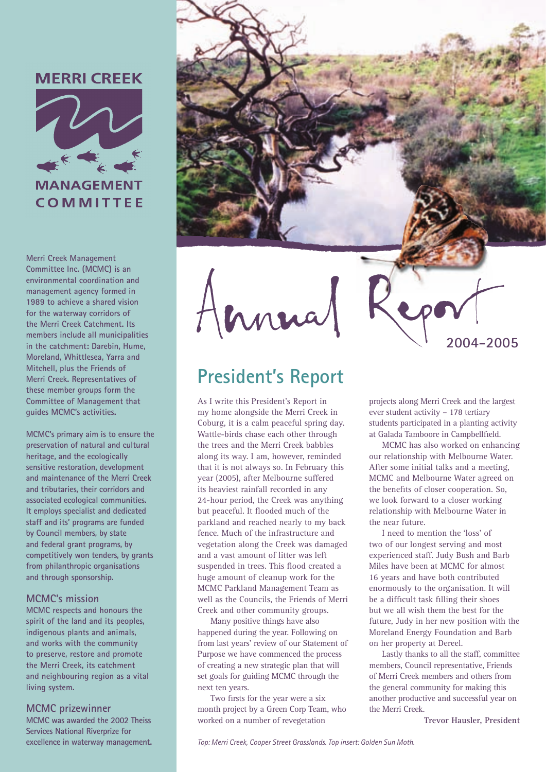### **MERRI CREEK**



**MANAGEMENT COMMITTEE** 

**Merri Creek Management Committee Inc. (MCMC) is an environmental coordination and management agency formed in 1989 to achieve a shared vision for the waterway corridors of the Merri Creek Catchment. Its members include all municipalities in the catchment: Darebin, Hume, Moreland, Whittlesea, Yarra and Mitchell, plus the Friends of Merri Creek. Representatives of these member groups form the Committee of Management that guides MCMC's activities.**

**MCMC's primary aim is to ensure the preservation of natural and cultural heritage, and the ecologically sensitive restoration, development and maintenance of the Merri Creek and tributaries, their corridors and associated ecological communities. It employs specialist and dedicated staff and its' programs are funded by Council members, by state and federal grant programs, by competitively won tenders, by grants from philanthropic organisations and through sponsorship.**

#### **MCMC's mission**

**MCMC respects and honours the spirit of the land and its peoples, indigenous plants and animals, and works with the community to preserve, restore and promote the Merri Creek, its catchment and neighbouring region as a vital living system.**

#### **MCMC prizewinner**

**MCMC was awarded the 2002 Theiss Services National Riverprize for excellence in waterway management.**



### **President's Report**

As I write this President's Report in my home alongside the Merri Creek in Coburg, it is a calm peaceful spring day. Wattle-birds chase each other through the trees and the Merri Creek babbles along its way. I am, however, reminded that it is not always so. In February this year (2005), after Melbourne suffered its heaviest rainfall recorded in any 24-hour period, the Creek was anything but peaceful. It flooded much of the parkland and reached nearly to my back fence. Much of the infrastructure and vegetation along the Creek was damaged and a vast amount of litter was left suspended in trees. This flood created a huge amount of cleanup work for the MCMC Parkland Management Team as well as the Councils, the Friends of Merri Creek and other community groups.

Many positive things have also happened during the year. Following on from last years' review of our Statement of Purpose we have commenced the process of creating a new strategic plan that will set goals for guiding MCMC through the next ten years.

Two firsts for the year were a six month project by a Green Corp Team, who worked on a number of revegetation

projects along Merri Creek and the largest ever student activity – 178 tertiary students participated in a planting activity at Galada Tamboore in Campbellfield.

**2004-2005**

MCMC has also worked on enhancing our relationship with Melbourne Water. After some initial talks and a meeting, MCMC and Melbourne Water agreed on the benefits of closer cooperation. So, we look forward to a closer working relationship with Melbourne Water in the near future.

I need to mention the 'loss' of two of our longest serving and most experienced staff. Judy Bush and Barb Miles have been at MCMC for almost 16 years and have both contributed enormously to the organisation. It will be a difficult task filling their shoes but we all wish them the best for the future, Judy in her new position with the Moreland Energy Foundation and Barb on her property at Dereel.

Lastly thanks to all the staff, committee members, Council representative, Friends of Merri Creek members and others from the general community for making this another productive and successful year on the Merri Creek.

**Trevor Hausler, President**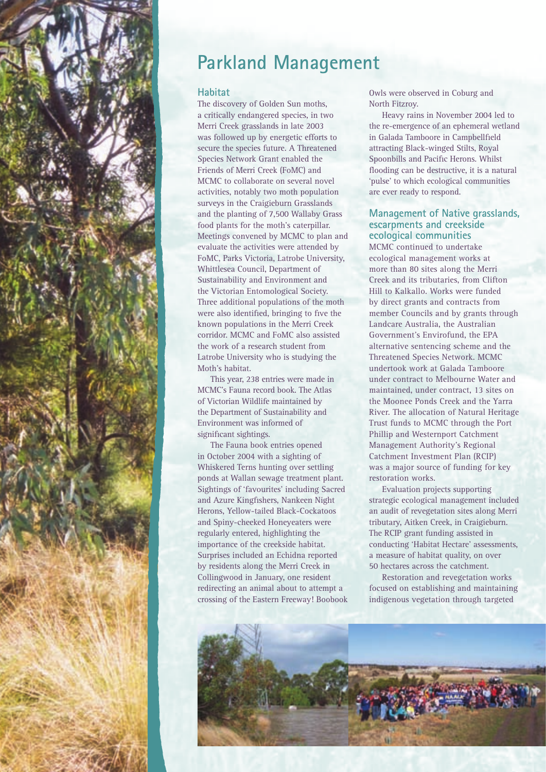

## **Parkland Management**

#### **Habitat**

The discovery of Golden Sun moths, a critically endangered species, in two Merri Creek grasslands in late 2003 was followed up by energetic efforts to secure the species future. A Threatened Species Network Grant enabled the Friends of Merri Creek (FoMC) and MCMC to collaborate on several novel activities, notably two moth population surveys in the Craigieburn Grasslands and the planting of 7,500 Wallaby Grass food plants for the moth's caterpillar. Meetings convened by MCMC to plan and evaluate the activities were attended by FoMC, Parks Victoria, Latrobe University, Whittlesea Council, Department of Sustainability and Environment and the Victorian Entomological Society. Three additional populations of the moth were also identified, bringing to five the known populations in the Merri Creek corridor. MCMC and FoMC also assisted the work of a research student from Latrobe University who is studying the Moth's habitat.

This year, 238 entries were made in MCMC's Fauna record book. The Atlas of Victorian Wildlife maintained by the Department of Sustainability and Environment was informed of significant sightings.

The Fauna book entries opened in October 2004 with a sighting of Whiskered Terns hunting over settling ponds at Wallan sewage treatment plant. Sightings of 'favourites' including Sacred and Azure Kingfishers, Nankeen Night Herons, Yellow-tailed Black-Cockatoos and Spiny-cheeked Honeyeaters were regularly entered, highlighting the importance of the creekside habitat. Surprises included an Echidna reported by residents along the Merri Creek in Collingwood in January, one resident redirecting an animal about to attempt a crossing of the Eastern Freeway! Boobook Owls were observed in Coburg and North Fitzroy.

Heavy rains in November 2004 led to the re-emergence of an ephemeral wetland in Galada Tamboore in Campbellfield attracting Black-winged Stilts, Royal Spoonbills and Pacific Herons. Whilst flooding can be destructive, it is a natural 'pulse' to which ecological communities are ever ready to respond.

#### **Management of Native grasslands, escarpments and creekside ecological communities**

MCMC continued to undertake ecological management works at more than 80 sites along the Merri Creek and its tributaries, from Clifton Hill to Kalkallo. Works were funded by direct grants and contracts from member Councils and by grants through Landcare Australia, the Australian Government's Envirofund, the EPA alternative sentencing scheme and the Threatened Species Network. MCMC undertook work at Galada Tamboore under contract to Melbourne Water and maintained, under contract, 13 sites on the Moonee Ponds Creek and the Yarra River. The allocation of Natural Heritage Trust funds to MCMC through the Port Phillip and Westernport Catchment Management Authority's Regional Catchment Investment Plan (RCIP) was a major source of funding for key restoration works.

Evaluation projects supporting strategic ecological management included an audit of revegetation sites along Merri tributary, Aitken Creek, in Craigieburn. The RCIP grant funding assisted in conducting 'Habitat Hectare' assessments, a measure of habitat quality, on over 50 hectares across the catchment.

Restoration and revegetation works focused on establishing and maintaining indigenous vegetation through targeted

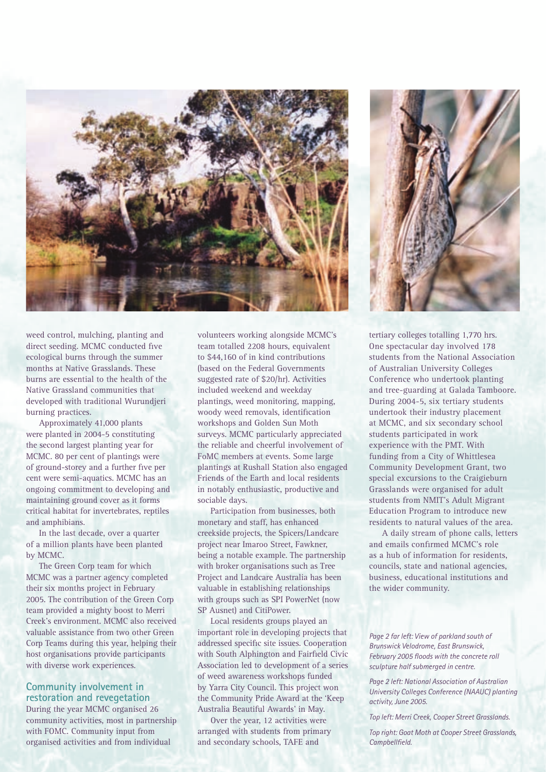

weed control, mulching, planting and direct seeding. MCMC conducted five ecological burns through the summer months at Native Grasslands. These burns are essential to the health of the Native Grassland communities that developed with traditional Wurundjeri burning practices.

Approximately 41,000 plants were planted in 2004-5 constituting the second largest planting year for MCMC. 80 per cent of plantings were of ground-storey and a further five per cent were semi-aquatics. MCMC has an ongoing commitment to developing and maintaining ground cover as it forms critical habitat for invertebrates, reptiles and amphibians.

In the last decade, over a quarter of a million plants have been planted by MCMC.

The Green Corp team for which MCMC was a partner agency completed their six months project in February 2005. The contribution of the Green Corp team provided a mighty boost to Merri Creek's environment. MCMC also received valuable assistance from two other Green Corp Teams during this year, helping their host organisations provide participants with diverse work experiences.

#### **Community involvement in restoration and revegetation**

During the year MCMC organised 26 community activities, most in partnership with FOMC. Community input from organised activities and from individual

volunteers working alongside MCMC's team totalled 2208 hours, equivalent to \$44,160 of in kind contributions (based on the Federal Governments suggested rate of \$20/hr). Activities included weekend and weekday plantings, weed monitoring, mapping, woody weed removals, identification workshops and Golden Sun Moth surveys. MCMC particularly appreciated the reliable and cheerful involvement of FoMC members at events. Some large plantings at Rushall Station also engaged Friends of the Earth and local residents in notably enthusiastic, productive and sociable days.

Participation from businesses, both monetary and staff, has enhanced creekside projects, the Spicers/Landcare project near Imaroo Street, Fawkner, being a notable example. The partnership with broker organisations such as Tree Project and Landcare Australia has been valuable in establishing relationships with groups such as SPI PowerNet (now SP Ausnet) and CitiPower.

Local residents groups played an important role in developing projects that addressed specific site issues. Cooperation with South Alphington and Fairfield Civic Association led to development of a series of weed awareness workshops funded by Yarra City Council. This project won the Community Pride Award at the 'Keep Australia Beautiful Awards' in May.

Over the year, 12 activities were arranged with students from primary and secondary schools, TAFE and



tertiary colleges totalling 1,770 hrs. One spectacular day involved 178 students from the National Association of Australian University Colleges Conference who undertook planting and tree-guarding at Galada Tamboore. During 2004-5, six tertiary students undertook their industry placement at MCMC, and six secondary school students participated in work experience with the PMT. With funding from a City of Whittlesea Community Development Grant, two special excursions to the Craigieburn Grasslands were organised for adult students from NMIT's Adult Migrant Education Program to introduce new residents to natural values of the area.

A daily stream of phone calls, letters and emails confirmed MCMC's role as a hub of information for residents, councils, state and national agencies, business, educational institutions and the wider community.

*Page 2 far left: View of parkland south of Brunswick Velodrome, East Brunswick, February 2005 floods with the concrete roll sculpture half submerged in centre.*

*Page 2 left: National Association of Australian University Colleges Conference (NAAUC) planting activity, June 2005.*

*Top left: Merri Creek, Cooper Street Grasslands.*

*Top right: Goat Moth at Cooper Street Grasslands, Campbellfield.*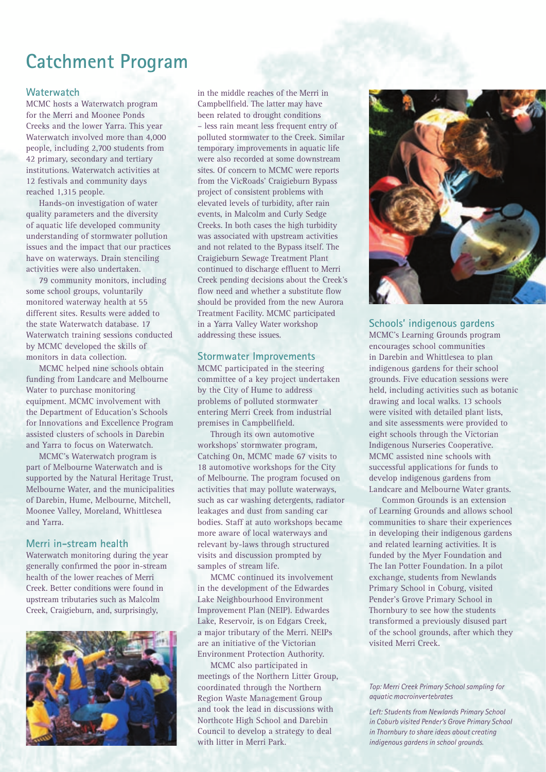## **Catchment Program**

#### **Waterwatch**

MCMC hosts a Waterwatch program for the Merri and Moonee Ponds Creeks and the lower Yarra. This year Waterwatch involved more than 4,000 people, including 2,700 students from 42 primary, secondary and tertiary institutions. Waterwatch activities at 12 festivals and community days reached 1,315 people.

Hands-on investigation of water quality parameters and the diversity of aquatic life developed community understanding of stormwater pollution issues and the impact that our practices have on waterways. Drain stenciling activities were also undertaken.

79 community monitors, including some school groups, voluntarily monitored waterway health at 55 different sites. Results were added to the state Waterwatch database. 17 Waterwatch training sessions conducted by MCMC developed the skills of monitors in data collection.

MCMC helped nine schools obtain funding from Landcare and Melbourne Water to purchase monitoring equipment. MCMC involvement with the Department of Education's Schools for Innovations and Excellence Program assisted clusters of schools in Darebin and Yarra to focus on Waterwatch.

MCMC's Waterwatch program is part of Melbourne Waterwatch and is supported by the Natural Heritage Trust, Melbourne Water, and the municipalities of Darebin, Hume, Melbourne, Mitchell, Moonee Valley, Moreland, Whittlesea and Yarra.

#### **Merri in-stream health**

Waterwatch monitoring during the year generally confirmed the poor in-stream health of the lower reaches of Merri Creek. Better conditions were found in upstream tributaries such as Malcolm Creek, Craigieburn, and, surprisingly,



in the middle reaches of the Merri in Campbellfield. The latter may have been related to drought conditions – less rain meant less frequent entry of polluted stormwater to the Creek. Similar temporary improvements in aquatic life were also recorded at some downstream sites. Of concern to MCMC were reports from the VicRoads' Craigieburn Bypass project of consistent problems with elevated levels of turbidity, after rain events, in Malcolm and Curly Sedge Creeks. In both cases the high turbidity was associated with upstream activities and not related to the Bypass itself. The Craigieburn Sewage Treatment Plant continued to discharge effluent to Merri Creek pending decisions about the Creek's flow need and whether a substitute flow should be provided from the new Aurora Treatment Facility. MCMC participated in a Yarra Valley Water workshop addressing these issues.

#### **Stormwater Improvements**

MCMC participated in the steering committee of a key project undertaken by the City of Hume to address problems of polluted stormwater entering Merri Creek from industrial premises in Campbellfield.

Through its own automotive workshops' stormwater program, Catching On, MCMC made 67 visits to 18 automotive workshops for the City of Melbourne. The program focused on activities that may pollute waterways, such as car washing detergents, radiator leakages and dust from sanding car bodies. Staff at auto workshops became more aware of local waterways and relevant by-laws through structured visits and discussion prompted by samples of stream life.

MCMC continued its involvement in the development of the Edwardes Lake Neighbourhood Environment Improvement Plan (NEIP). Edwardes Lake, Reservoir, is on Edgars Creek, a major tributary of the Merri. NEIPs are an initiative of the Victorian Environment Protection Authority.

MCMC also participated in meetings of the Northern Litter Group, coordinated through the Northern Region Waste Management Group and took the lead in discussions with Northcote High School and Darebin Council to develop a strategy to deal with litter in Merri Park.



#### **Schools' indigenous gardens**

MCMC's Learning Grounds program encourages school communities in Darebin and Whittlesea to plan indigenous gardens for their school grounds. Five education sessions were held, including activities such as botanic drawing and local walks. 13 schools were visited with detailed plant lists, and site assessments were provided to eight schools through the Victorian Indigenous Nurseries Cooperative. MCMC assisted nine schools with successful applications for funds to develop indigenous gardens from Landcare and Melbourne Water grants.

Common Grounds is an extension of Learning Grounds and allows school communities to share their experiences in developing their indigenous gardens and related learning activities. It is funded by the Myer Foundation and The Ian Potter Foundation. In a pilot exchange, students from Newlands Primary School in Coburg, visited Pender's Grove Primary School in Thornbury to see how the students transformed a previously disused part of the school grounds, after which they visited Merri Creek.

#### *Top: Merri Creek Primary School sampling for aquatic macroinvertebrates*

*Left: Students from Newlands Primary School in Coburb visited Pender's Grove Primary School in Thornbury to share ideas about creating indigenous gardens in school grounds.*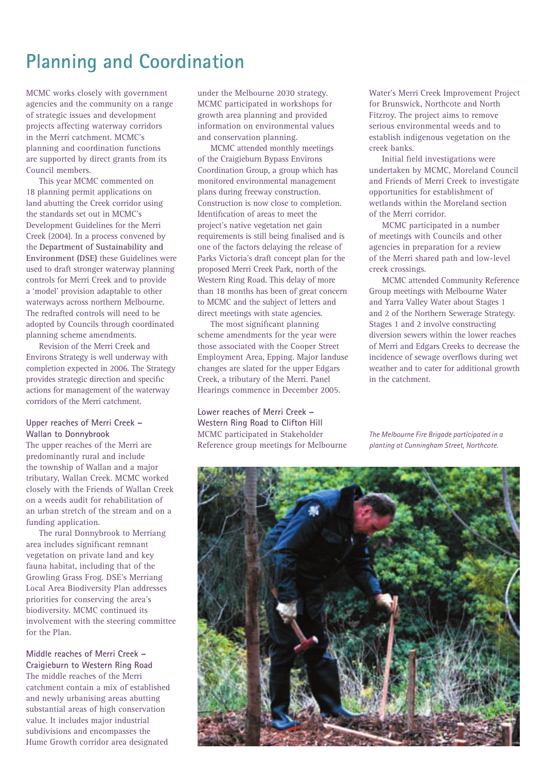## **Planning and Coordination**

MCMC works closely with government agencies and the community on a range of strategic issues and development projects affecting waterway corridors in the Merri catchment. MCMC's planning and coordination functions are supported by direct grants from its Council members.

This year MCMC commented on 18 planning permit applications on land abutting the Creek corridor using the standards set out in MCMC's Development Guidelines for the Merri Creek (2004). In a process convened by the **Department of Sustainability and Environment (DSE)** these Guidelines were used to draft stronger waterway planning controls for Merri Creek and to provide a 'model' provision adaptable to other waterways across northern Melbourne. The redrafted controls will need to be adopted by Councils through coordinated planning scheme amendments.

Revision of the Merri Creek and Environs Strategy is well underway with completion expected in 2006. The Strategy provides strategic direction and specific actions for management of the waterway corridors of the Merri catchment.

#### **Upper reaches of Merri Creek – Wallan to Donnybrook**

The upper reaches of the Merri are predominantly rural and include the township of Wallan and a major tributary, Wallan Creek. MCMC worked closely with the Friends of Wallan Creek on a weeds audit for rehabilitation of an urban stretch of the stream and on a funding application.

The rural Donnybrook to Merriang area includes significant remnant vegetation on private land and key fauna habitat, including that of the Growling Grass Frog. DSE's Merriang Local Area Biodiversity Plan addresses priorities for conserving the area's biodiversity. MCMC continued its involvement with the steering committee for the Plan.

**Middle reaches of Merri Creek – Craigieburn to Western Ring Road** The middle reaches of the Merri catchment contain a mix of established and newly urbanising areas abutting substantial areas of high conservation value. It includes major industrial subdivisions and encompasses the Hume Growth corridor area designated

under the Melbourne 2030 strategy. MCMC participated in workshops for growth area planning and provided information on environmental values and conservation planning.

MCMC attended monthly meetings of the Craigieburn Bypass Environs Coordination Group, a group which has monitored environmental management plans during freeway construction. Construction is now close to completion. Identification of areas to meet the project's native vegetation net gain requirements is still being finalised and is one of the factors delaying the release of Parks Victoria's draft concept plan for the proposed Merri Creek Park, north of the Western Ring Road. This delay of more than 18 months has been of great concern to MCMC and the subject of letters and direct meetings with state agencies.

The most significant planning scheme amendments for the year were those associated with the Cooper Street Employment Area, Epping. Major landuse changes are slated for the upper Edgars Creek, a tributary of the Merri. Panel Hearings commence in December 2005.

**Lower reaches of Merri Creek – Western Ring Road to Clifton Hill** MCMC participated in Stakeholder Reference group meetings for Melbourne Water's Merri Creek Improvement Project for Brunswick, Northcote and North Fitzroy. The project aims to remove serious environmental weeds and to establish indigenous vegetation on the creek banks.

Initial field investigations were undertaken by MCMC, Moreland Council and Friends of Merri Creek to investigate opportunities for establishment of wetlands within the Moreland section of the Merri corridor.

MCMC participated in a number of meetings with Councils and other agencies in preparation for a review of the Merri shared path and low-level creek crossings.

MCMC attended Community Reference Group meetings with Melbourne Water and Yarra Valley Water about Stages 1 and 2 of the Northern Sewerage Strategy. Stages 1 and 2 involve constructing diversion sewers within the lower reaches of Merri and Edgars Creeks to decrease the incidence of sewage overflows during wet weather and to cater for additional growth in the catchment.

*The Melbourne Fire Brigade participated in a planting at Cunningham Street, Northcote.*